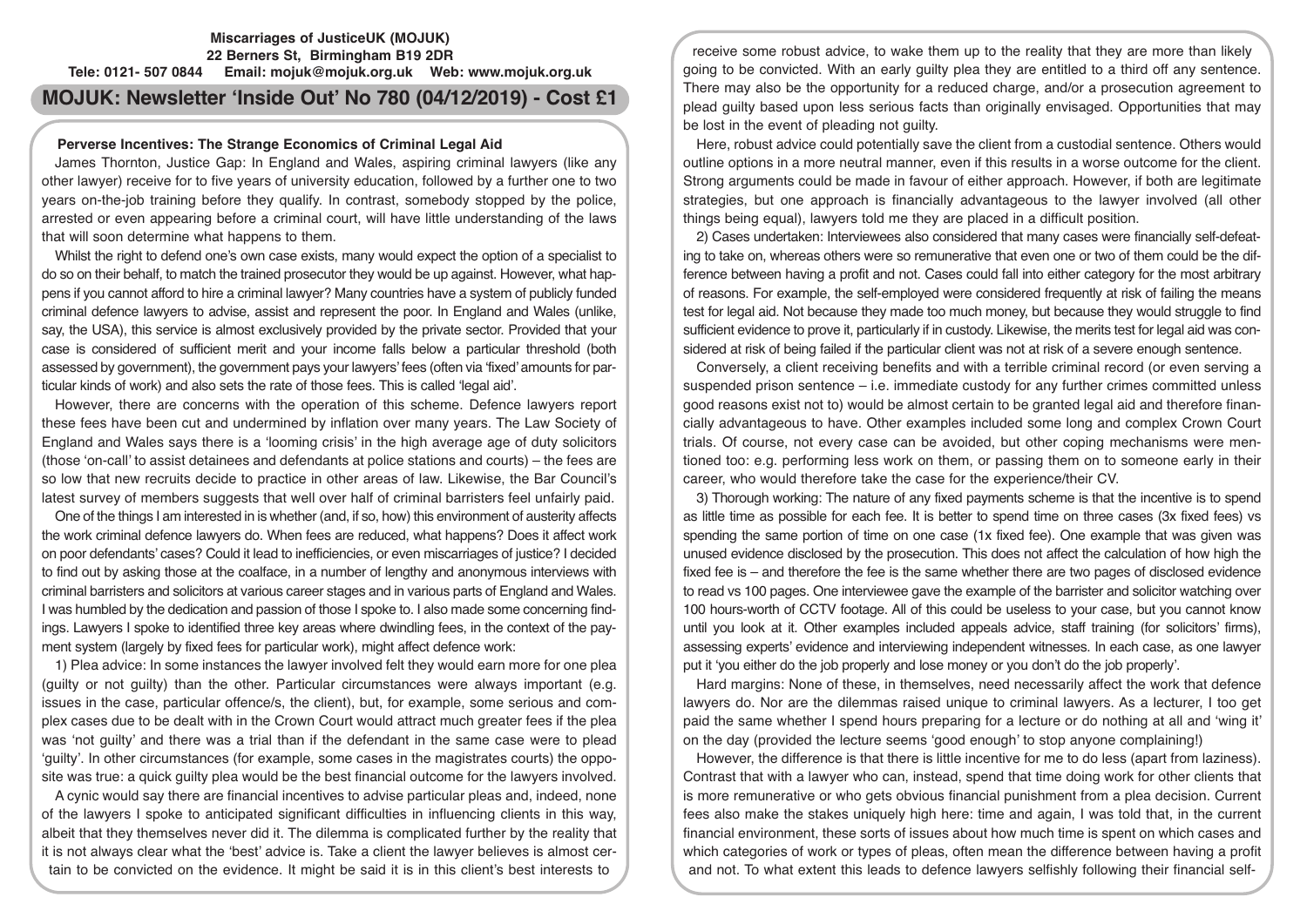# **Miscarriages of JusticeUK (MOJUK) 22 Berners St, Birmingham B19 2DR Tele: 0121- 507 0844 Email: mojuk@mojuk.org.uk Web: www.mojuk.org.uk**

# **MOJUK: Newsletter 'Inside Out' No 780 (04/12/2019) - Cost £1**

# **Perverse Incentives: The Strange Economics of Criminal Legal Aid**

James Thornton, Justice Gap: In England and Wales, aspiring criminal lawyers (like any other lawyer) receive for to five years of university education, followed by a further one to two years on-the-job training before they qualify. In contrast, somebody stopped by the police, arrested or even appearing before a criminal court, will have little understanding of the laws that will soon determine what happens to them.

Whilst the right to defend one's own case exists, many would expect the option of a specialist to do so on their behalf, to match the trained prosecutor they would be up against. However, what happens if you cannot afford to hire a criminal lawyer? Many countries have a system of publicly funded criminal defence lawyers to advise, assist and represent the poor. In England and Wales (unlike, say, the USA), this service is almost exclusively provided by the private sector. Provided that your case is considered of sufficient merit and your income falls below a particular threshold (both assessed by government), the government pays your lawyers' fees (often via 'fixed' amounts for particular kinds of work) and also sets the rate of those fees. This is called 'legal aid'.

However, there are concerns with the operation of this scheme. Defence lawyers report these fees have been cut and undermined by inflation over many years. The Law Society of England and Wales says there is a 'looming crisis' in the high average age of duty solicitors (those 'on-call' to assist detainees and defendants at police stations and courts) – the fees are so low that new recruits decide to practice in other areas of law. Likewise, the Bar Council's latest survey of members suggests that well over half of criminal barristers feel unfairly paid.

One of the things I am interested in is whether (and, if so, how) this environment of austerity affects the work criminal defence lawyers do. When fees are reduced, what happens? Does it affect work on poor defendants' cases? Could it lead to inefficiencies, or even miscarriages of justice? I decided to find out by asking those at the coalface, in a number of lengthy and anonymous interviews with criminal barristers and solicitors at various career stages and in various parts of England and Wales. I was humbled by the dedication and passion of those I spoke to. I also made some concerning findings. Lawyers I spoke to identified three key areas where dwindling fees, in the context of the payment system (largely by fixed fees for particular work), might affect defence work:

1) Plea advice: In some instances the lawyer involved felt they would earn more for one plea (guilty or not guilty) than the other. Particular circumstances were always important (e.g. issues in the case, particular offence/s, the client), but, for example, some serious and complex cases due to be dealt with in the Crown Court would attract much greater fees if the plea was 'not guilty' and there was a trial than if the defendant in the same case were to plead 'guilty'. In other circumstances (for example, some cases in the magistrates courts) the opposite was true: a quick guilty plea would be the best financial outcome for the lawyers involved.

A cynic would say there are financial incentives to advise particular pleas and, indeed, none of the lawyers I spoke to anticipated significant difficulties in influencing clients in this way, albeit that they themselves never did it. The dilemma is complicated further by the reality that it is not always clear what the 'best' advice is. Take a client the lawyer believes is almost certain to be convicted on the evidence. It might be said it is in this client's best interests to

receive some robust advice, to wake them up to the reality that they are more than likely going to be convicted. With an early guilty plea they are entitled to a third off any sentence. There may also be the opportunity for a reduced charge, and/or a prosecution agreement to plead guilty based upon less serious facts than originally envisaged. Opportunities that may be lost in the event of pleading not guilty.

Here, robust advice could potentially save the client from a custodial sentence. Others would outline options in a more neutral manner, even if this results in a worse outcome for the client. Strong arguments could be made in favour of either approach. However, if both are legitimate strategies, but one approach is financially advantageous to the lawyer involved (all other things being equal), lawyers told me they are placed in a difficult position.

2) Cases undertaken: Interviewees also considered that many cases were financially self-defeating to take on, whereas others were so remunerative that even one or two of them could be the difference between having a profit and not. Cases could fall into either category for the most arbitrary of reasons. For example, the self-employed were considered frequently at risk of failing the means test for legal aid. Not because they made too much money, but because they would struggle to find sufficient evidence to prove it, particularly if in custody. Likewise, the merits test for legal aid was considered at risk of being failed if the particular client was not at risk of a severe enough sentence.

Conversely, a client receiving benefits and with a terrible criminal record (or even serving a suspended prison sentence – i.e. immediate custody for any further crimes committed unless good reasons exist not to) would be almost certain to be granted legal aid and therefore financially advantageous to have. Other examples included some long and complex Crown Court trials. Of course, not every case can be avoided, but other coping mechanisms were mentioned too: e.g. performing less work on them, or passing them on to someone early in their career, who would therefore take the case for the experience/their CV.

3) Thorough working: The nature of any fixed payments scheme is that the incentive is to spend as little time as possible for each fee. It is better to spend time on three cases (3x fixed fees) vs spending the same portion of time on one case (1x fixed fee). One example that was given was unused evidence disclosed by the prosecution. This does not affect the calculation of how high the fixed fee is – and therefore the fee is the same whether there are two pages of disclosed evidence to read vs 100 pages. One interviewee gave the example of the barrister and solicitor watching over 100 hours-worth of CCTV footage. All of this could be useless to your case, but you cannot know until you look at it. Other examples included appeals advice, staff training (for solicitors' firms), assessing experts' evidence and interviewing independent witnesses. In each case, as one lawyer put it 'you either do the job properly and lose money or you don't do the job properly'.

Hard margins: None of these, in themselves, need necessarily affect the work that defence lawyers do. Nor are the dilemmas raised unique to criminal lawyers. As a lecturer, I too get paid the same whether I spend hours preparing for a lecture or do nothing at all and 'wing it' on the day (provided the lecture seems 'good enough' to stop anyone complaining!)

However, the difference is that there is little incentive for me to do less (apart from laziness). Contrast that with a lawyer who can, instead, spend that time doing work for other clients that is more remunerative or who gets obvious financial punishment from a plea decision. Current fees also make the stakes uniquely high here: time and again, I was told that, in the current financial environment, these sorts of issues about how much time is spent on which cases and which categories of work or types of pleas, often mean the difference between having a profit and not. To what extent this leads to defence lawyers selfishly following their financial self-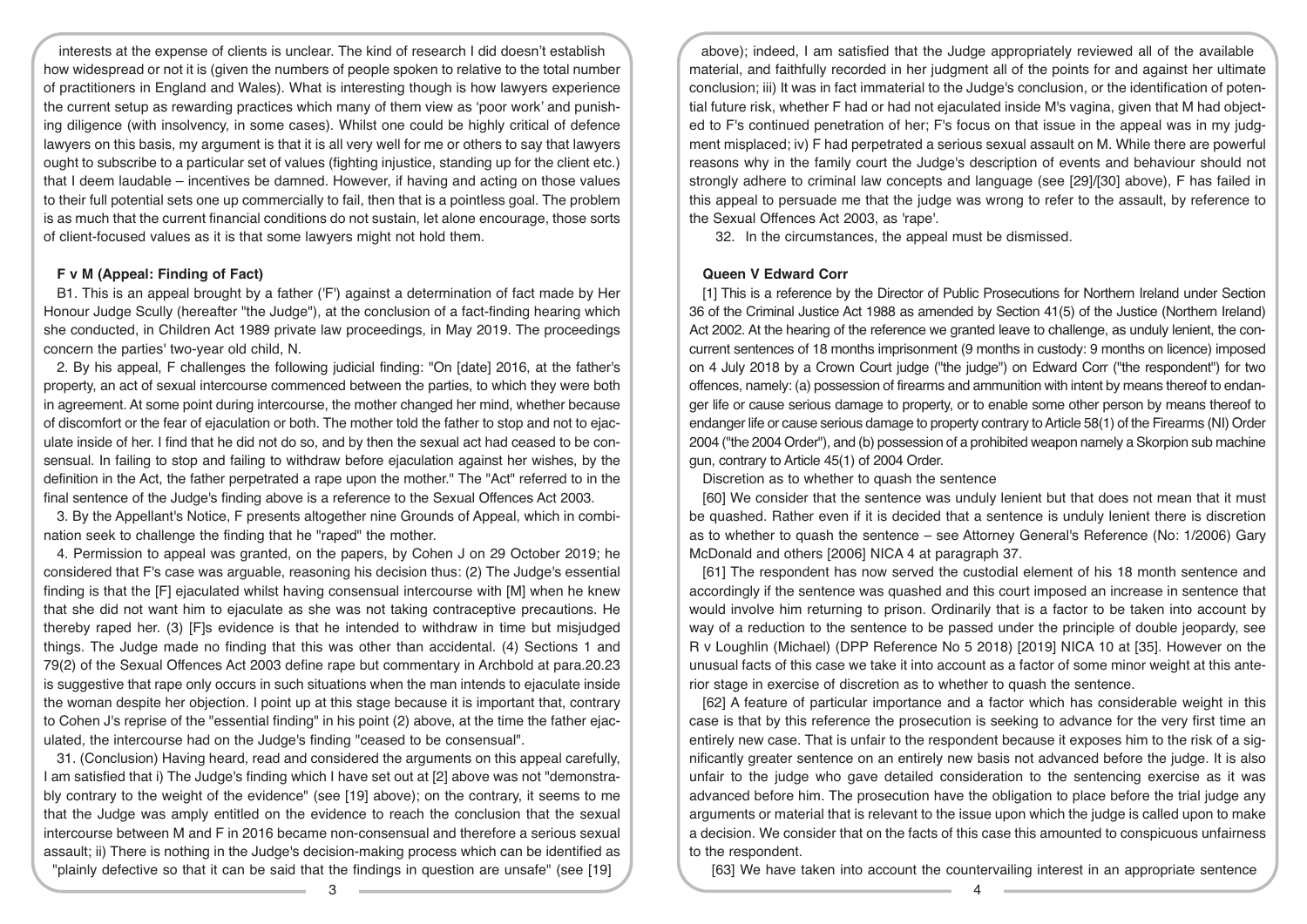interests at the expense of clients is unclear. The kind of research I did doesn't establish how widespread or not it is (given the numbers of people spoken to relative to the total number of practitioners in England and Wales). What is interesting though is how lawyers experience the current setup as rewarding practices which many of them view as 'poor work' and punishing diligence (with insolvency, in some cases). Whilst one could be highly critical of defence lawyers on this basis, my argument is that it is all very well for me or others to say that lawyers ought to subscribe to a particular set of values (fighting injustice, standing up for the client etc.) that I deem laudable – incentives be damned. However, if having and acting on those values to their full potential sets one up commercially to fail, then that is a pointless goal. The problem is as much that the current financial conditions do not sustain, let alone encourage, those sorts of client-focused values as it is that some lawyers might not hold them.

### **F v M (Appeal: Finding of Fact)**

B1. This is an appeal brought by a father ('F') against a determination of fact made by Her Honour Judge Scully (hereafter "the Judge"), at the conclusion of a fact-finding hearing which she conducted, in Children Act 1989 private law proceedings, in May 2019. The proceedings concern the parties' two-year old child, N.

2. By his appeal, F challenges the following judicial finding: "On [date] 2016, at the father's property, an act of sexual intercourse commenced between the parties, to which they were both in agreement. At some point during intercourse, the mother changed her mind, whether because of discomfort or the fear of ejaculation or both. The mother told the father to stop and not to ejaculate inside of her. I find that he did not do so, and by then the sexual act had ceased to be consensual. In failing to stop and failing to withdraw before ejaculation against her wishes, by the definition in the Act, the father perpetrated a rape upon the mother." The "Act" referred to in the final sentence of the Judge's finding above is a reference to the Sexual Offences Act 2003.

3. By the Appellant's Notice, F presents altogether nine Grounds of Appeal, which in combination seek to challenge the finding that he "raped" the mother.

4. Permission to appeal was granted, on the papers, by Cohen J on 29 October 2019; he considered that F's case was arguable, reasoning his decision thus: (2) The Judge's essential finding is that the [F] ejaculated whilst having consensual intercourse with [M] when he knew that she did not want him to ejaculate as she was not taking contraceptive precautions. He thereby raped her. (3) [F]s evidence is that he intended to withdraw in time but misjudged things. The Judge made no finding that this was other than accidental. (4) Sections 1 and 79(2) of the Sexual Offences Act 2003 define rape but commentary in Archbold at para.20.23 is suggestive that rape only occurs in such situations when the man intends to ejaculate inside the woman despite her objection. I point up at this stage because it is important that, contrary to Cohen J's reprise of the "essential finding" in his point (2) above, at the time the father ejaculated, the intercourse had on the Judge's finding "ceased to be consensual".

31. (Conclusion) Having heard, read and considered the arguments on this appeal carefully, I am satisfied that i) The Judge's finding which I have set out at [2] above was not "demonstrably contrary to the weight of the evidence" (see [19] above); on the contrary, it seems to me that the Judge was amply entitled on the evidence to reach the conclusion that the sexual intercourse between M and F in 2016 became non-consensual and therefore a serious sexual assault; ii) There is nothing in the Judge's decision-making process which can be identified as "plainly defective so that it can be said that the findings in question are unsafe" (see [19]

above); indeed, I am satisfied that the Judge appropriately reviewed all of the available material, and faithfully recorded in her judgment all of the points for and against her ultimate conclusion; iii) It was in fact immaterial to the Judge's conclusion, or the identification of potential future risk, whether F had or had not ejaculated inside M's vagina, given that M had objected to F's continued penetration of her; F's focus on that issue in the appeal was in my judgment misplaced; iv) F had perpetrated a serious sexual assault on M. While there are powerful reasons why in the family court the Judge's description of events and behaviour should not strongly adhere to criminal law concepts and language (see [29]/[30] above), F has failed in this appeal to persuade me that the judge was wrong to refer to the assault, by reference to the Sexual Offences Act 2003, as 'rape'.

32. In the circumstances, the appeal must be dismissed.

# **Queen V Edward Corr**

[1] This is a reference by the Director of Public Prosecutions for Northern Ireland under Section 36 of the Criminal Justice Act 1988 as amended by Section 41(5) of the Justice (Northern Ireland) Act 2002. At the hearing of the reference we granted leave to challenge, as unduly lenient, the concurrent sentences of 18 months imprisonment (9 months in custody: 9 months on licence) imposed on 4 July 2018 by a Crown Court judge ("the judge") on Edward Corr ("the respondent") for two offences, namely: (a) possession of firearms and ammunition with intent by means thereof to endanger life or cause serious damage to property, or to enable some other person by means thereof to endanger life or cause serious damage to property contrary to Article 58(1) of the Firearms (NI) Order 2004 ("the 2004 Order"), and (b) possession of a prohibited weapon namely a Skorpion sub machine gun, contrary to Article 45(1) of 2004 Order.

Discretion as to whether to quash the sentence

[60] We consider that the sentence was unduly lenient but that does not mean that it must be quashed. Rather even if it is decided that a sentence is unduly lenient there is discretion as to whether to quash the sentence – see Attorney General's Reference (No: 1/2006) Gary McDonald and others [2006] NICA 4 at paragraph 37.

[61] The respondent has now served the custodial element of his 18 month sentence and accordingly if the sentence was quashed and this court imposed an increase in sentence that would involve him returning to prison. Ordinarily that is a factor to be taken into account by way of a reduction to the sentence to be passed under the principle of double jeopardy, see R v Loughlin (Michael) (DPP Reference No 5 2018) [2019] NICA 10 at [35]. However on the unusual facts of this case we take it into account as a factor of some minor weight at this anterior stage in exercise of discretion as to whether to quash the sentence.

[62] A feature of particular importance and a factor which has considerable weight in this case is that by this reference the prosecution is seeking to advance for the very first time an entirely new case. That is unfair to the respondent because it exposes him to the risk of a significantly greater sentence on an entirely new basis not advanced before the judge. It is also unfair to the judge who gave detailed consideration to the sentencing exercise as it was advanced before him. The prosecution have the obligation to place before the trial judge any arguments or material that is relevant to the issue upon which the judge is called upon to make a decision. We consider that on the facts of this case this amounted to conspicuous unfairness to the respondent.

[63] We have taken into account the countervailing interest in an appropriate sentence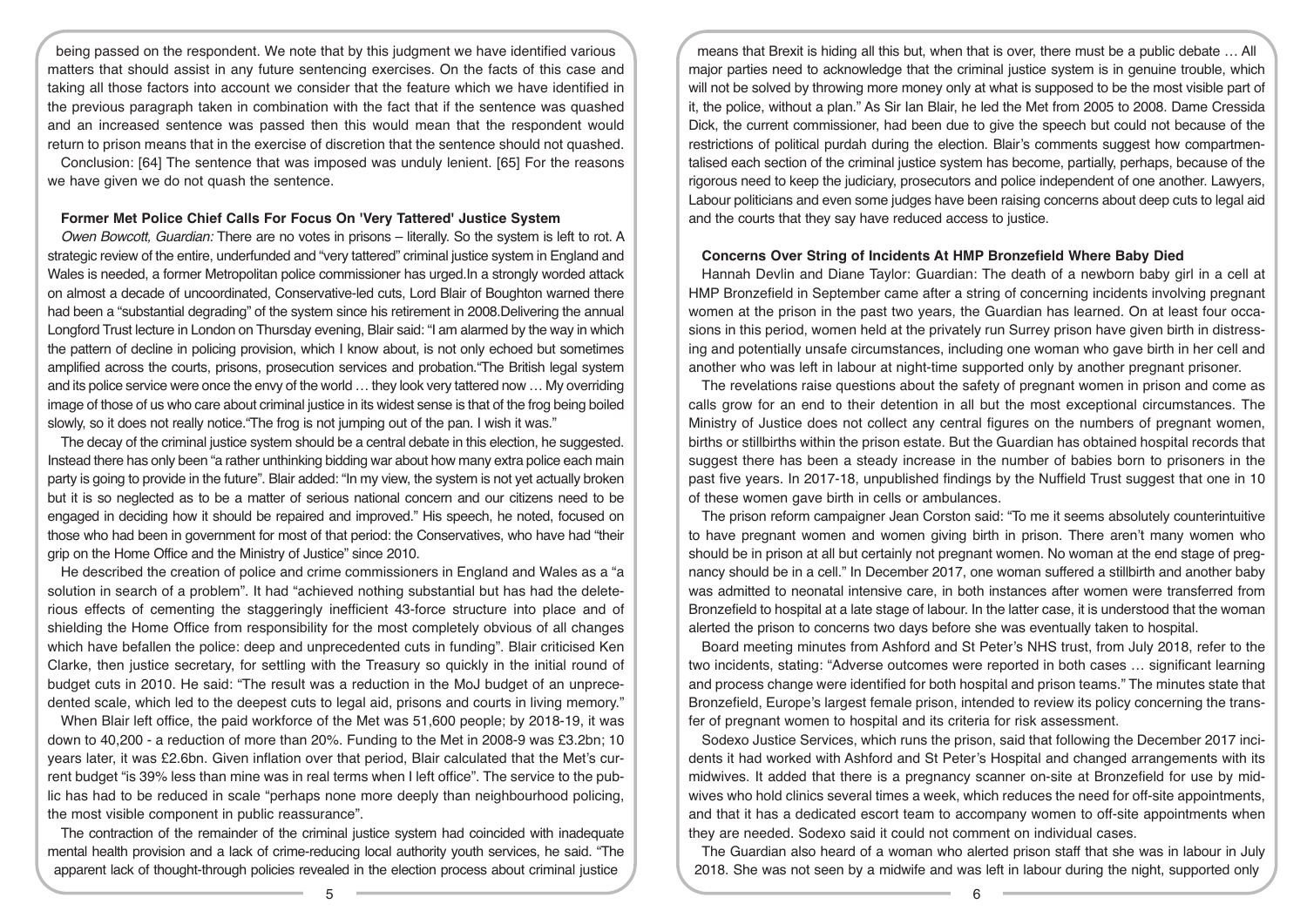being passed on the respondent. We note that by this judgment we have identified various matters that should assist in any future sentencing exercises. On the facts of this case and taking all those factors into account we consider that the feature which we have identified in the previous paragraph taken in combination with the fact that if the sentence was quashed and an increased sentence was passed then this would mean that the respondent would return to prison means that in the exercise of discretion that the sentence should not quashed.

Conclusion: [64] The sentence that was imposed was unduly lenient. [65] For the reasons we have given we do not quash the sentence.

#### **Former Met Police Chief Calls For Focus On 'Very Tattered' Justice System**

Owen Bowcott, Guardian: There are no votes in prisons – literally. So the system is left to rot. A strategic review of the entire, underfunded and "very tattered" criminal justice system in England and Wales is needed, a former Metropolitan police commissioner has urged.In a strongly worded attack on almost a decade of uncoordinated, Conservative-led cuts, Lord Blair of Boughton warned there had been a "substantial degrading" of the system since his retirement in 2008.Delivering the annual Longford Trust lecture in London on Thursday evening, Blair said: "I am alarmed by the way in which the pattern of decline in policing provision, which I know about, is not only echoed but sometimes amplified across the courts, prisons, prosecution services and probation."The British legal system and its police service were once the envy of the world … they look very tattered now … My overriding image of those of us who care about criminal justice in its widest sense is that of the frog being boiled slowly, so it does not really notice."The frog is not jumping out of the pan. I wish it was."

The decay of the criminal justice system should be a central debate in this election, he suggested. Instead there has only been "a rather unthinking bidding war about how many extra police each main party is going to provide in the future". Blair added: "In my view, the system is not yet actually broken but it is so neglected as to be a matter of serious national concern and our citizens need to be engaged in deciding how it should be repaired and improved." His speech, he noted, focused on those who had been in government for most of that period: the Conservatives, who have had "their grip on the Home Office and the Ministry of Justice" since 2010.

He described the creation of police and crime commissioners in England and Wales as a "a solution in search of a problem". It had "achieved nothing substantial but has had the deleterious effects of cementing the staggeringly inefficient 43-force structure into place and of shielding the Home Office from responsibility for the most completely obvious of all changes which have befallen the police: deep and unprecedented cuts in funding". Blair criticised Ken Clarke, then justice secretary, for settling with the Treasury so quickly in the initial round of budget cuts in 2010. He said: "The result was a reduction in the MoJ budget of an unprecedented scale, which led to the deepest cuts to legal aid, prisons and courts in living memory."

When Blair left office, the paid workforce of the Met was 51,600 people; by 2018-19, it was down to 40,200 - a reduction of more than 20%. Funding to the Met in 2008-9 was £3.2bn; 10 years later, it was £2.6bn. Given inflation over that period, Blair calculated that the Met's current budget "is 39% less than mine was in real terms when I left office". The service to the public has had to be reduced in scale "perhaps none more deeply than neighbourhood policing, the most visible component in public reassurance".

The contraction of the remainder of the criminal justice system had coincided with inadequate mental health provision and a lack of crime-reducing local authority youth services, he said. "The apparent lack of thought-through policies revealed in the election process about criminal justice

means that Brexit is hiding all this but, when that is over, there must be a public debate … All major parties need to acknowledge that the criminal justice system is in genuine trouble, which will not be solved by throwing more money only at what is supposed to be the most visible part of it, the police, without a plan." As Sir Ian Blair, he led the Met from 2005 to 2008. Dame Cressida Dick, the current commissioner, had been due to give the speech but could not because of the restrictions of political purdah during the election. Blair's comments suggest how compartmentalised each section of the criminal justice system has become, partially, perhaps, because of the rigorous need to keep the judiciary, prosecutors and police independent of one another. Lawyers, Labour politicians and even some judges have been raising concerns about deep cuts to legal aid and the courts that they say have reduced access to justice.

#### **Concerns Over String of Incidents At HMP Bronzefield Where Baby Died**

Hannah Devlin and Diane Taylor: Guardian: The death of a newborn baby girl in a cell at HMP Bronzefield in September came after a string of concerning incidents involving pregnant women at the prison in the past two years, the Guardian has learned. On at least four occasions in this period, women held at the privately run Surrey prison have given birth in distressing and potentially unsafe circumstances, including one woman who gave birth in her cell and another who was left in labour at night-time supported only by another pregnant prisoner.

The revelations raise questions about the safety of pregnant women in prison and come as calls grow for an end to their detention in all but the most exceptional circumstances. The Ministry of Justice does not collect any central figures on the numbers of pregnant women, births or stillbirths within the prison estate. But the Guardian has obtained hospital records that suggest there has been a steady increase in the number of babies born to prisoners in the past five years. In 2017-18, unpublished findings by the Nuffield Trust suggest that one in 10 of these women gave birth in cells or ambulances.

The prison reform campaigner Jean Corston said: "To me it seems absolutely counterintuitive to have pregnant women and women giving birth in prison. There aren't many women who should be in prison at all but certainly not pregnant women. No woman at the end stage of pregnancy should be in a cell." In December 2017, one woman suffered a stillbirth and another baby was admitted to neonatal intensive care, in both instances after women were transferred from Bronzefield to hospital at a late stage of labour. In the latter case, it is understood that the woman alerted the prison to concerns two days before she was eventually taken to hospital.

Board meeting minutes from Ashford and St Peter's NHS trust, from July 2018, refer to the two incidents, stating: "Adverse outcomes were reported in both cases … significant learning and process change were identified for both hospital and prison teams." The minutes state that Bronzefield, Europe's largest female prison, intended to review its policy concerning the transfer of pregnant women to hospital and its criteria for risk assessment.

Sodexo Justice Services, which runs the prison, said that following the December 2017 incidents it had worked with Ashford and St Peter's Hospital and changed arrangements with its midwives. It added that there is a pregnancy scanner on-site at Bronzefield for use by midwives who hold clinics several times a week, which reduces the need for off-site appointments, and that it has a dedicated escort team to accompany women to off-site appointments when they are needed. Sodexo said it could not comment on individual cases.

The Guardian also heard of a woman who alerted prison staff that she was in labour in July 2018. She was not seen by a midwife and was left in labour during the night, supported only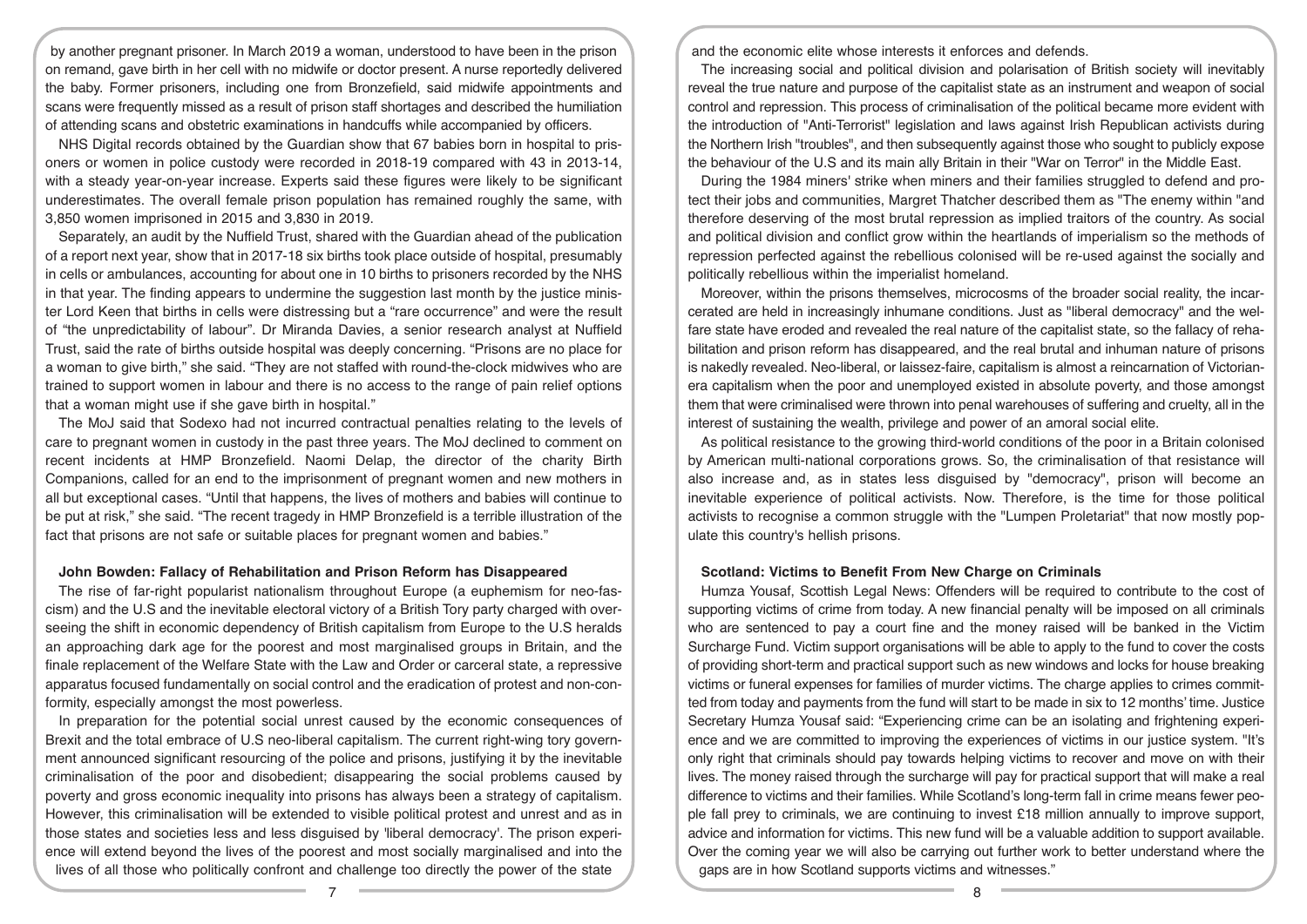by another pregnant prisoner. In March 2019 a woman, understood to have been in the prison on remand, gave birth in her cell with no midwife or doctor present. A nurse reportedly delivered the baby. Former prisoners, including one from Bronzefield, said midwife appointments and scans were frequently missed as a result of prison staff shortages and described the humiliation of attending scans and obstetric examinations in handcuffs while accompanied by officers.

NHS Digital records obtained by the Guardian show that 67 babies born in hospital to prisoners or women in police custody were recorded in 2018-19 compared with 43 in 2013-14, with a steady year-on-year increase. Experts said these figures were likely to be significant underestimates. The overall female prison population has remained roughly the same, with 3,850 women imprisoned in 2015 and 3,830 in 2019.

Separately, an audit by the Nuffield Trust, shared with the Guardian ahead of the publication of a report next year, show that in 2017-18 six births took place outside of hospital, presumably in cells or ambulances, accounting for about one in 10 births to prisoners recorded by the NHS in that year. The finding appears to undermine the suggestion last month by the justice minister Lord Keen that births in cells were distressing but a "rare occurrence" and were the result of "the unpredictability of labour". Dr Miranda Davies, a senior research analyst at Nuffield Trust, said the rate of births outside hospital was deeply concerning. "Prisons are no place for a woman to give birth," she said. "They are not staffed with round-the-clock midwives who are trained to support women in labour and there is no access to the range of pain relief options that a woman might use if she gave birth in hospital."

The MoJ said that Sodexo had not incurred contractual penalties relating to the levels of care to pregnant women in custody in the past three years. The MoJ declined to comment on recent incidents at HMP Bronzefield. Naomi Delap, the director of the charity Birth Companions, called for an end to the imprisonment of pregnant women and new mothers in all but exceptional cases. "Until that happens, the lives of mothers and babies will continue to be put at risk," she said. "The recent tragedy in HMP Bronzefield is a terrible illustration of the fact that prisons are not safe or suitable places for pregnant women and babies."

### **John Bowden: Fallacy of Rehabilitation and Prison Reform has Disappeared**

The rise of far-right popularist nationalism throughout Europe (a euphemism for neo-fascism) and the U.S and the inevitable electoral victory of a British Tory party charged with overseeing the shift in economic dependency of British capitalism from Europe to the U.S heralds an approaching dark age for the poorest and most marginalised groups in Britain, and the finale replacement of the Welfare State with the Law and Order or carceral state, a repressive apparatus focused fundamentally on social control and the eradication of protest and non-conformity, especially amongst the most powerless.

In preparation for the potential social unrest caused by the economic consequences of Brexit and the total embrace of U.S neo-liberal capitalism. The current right-wing tory government announced significant resourcing of the police and prisons, justifying it by the inevitable criminalisation of the poor and disobedient; disappearing the social problems caused by poverty and gross economic inequality into prisons has always been a strategy of capitalism. However, this criminalisation will be extended to visible political protest and unrest and as in those states and societies less and less disguised by 'liberal democracy'. The prison experience will extend beyond the lives of the poorest and most socially marginalised and into the lives of all those who politically confront and challenge too directly the power of the state

and the economic elite whose interests it enforces and defends.

The increasing social and political division and polarisation of British society will inevitably reveal the true nature and purpose of the capitalist state as an instrument and weapon of social control and repression. This process of criminalisation of the political became more evident with the introduction of "Anti-Terrorist" legislation and laws against Irish Republican activists during the Northern Irish "troubles", and then subsequently against those who sought to publicly expose the behaviour of the U.S and its main ally Britain in their "War on Terror" in the Middle East.

During the 1984 miners' strike when miners and their families struggled to defend and protect their jobs and communities, Margret Thatcher described them as "The enemy within "and therefore deserving of the most brutal repression as implied traitors of the country. As social and political division and conflict grow within the heartlands of imperialism so the methods of repression perfected against the rebellious colonised will be re-used against the socially and politically rebellious within the imperialist homeland.

Moreover, within the prisons themselves, microcosms of the broader social reality, the incarcerated are held in increasingly inhumane conditions. Just as "liberal democracy" and the welfare state have eroded and revealed the real nature of the capitalist state, so the fallacy of rehabilitation and prison reform has disappeared, and the real brutal and inhuman nature of prisons is nakedly revealed. Neo-liberal, or laissez-faire, capitalism is almost a reincarnation of Victorianera capitalism when the poor and unemployed existed in absolute poverty, and those amongst them that were criminalised were thrown into penal warehouses of suffering and cruelty, all in the interest of sustaining the wealth, privilege and power of an amoral social elite.

As political resistance to the growing third-world conditions of the poor in a Britain colonised by American multi-national corporations grows. So, the criminalisation of that resistance will also increase and, as in states less disguised by "democracy", prison will become an inevitable experience of political activists. Now. Therefore, is the time for those political activists to recognise a common struggle with the "Lumpen Proletariat" that now mostly populate this country's hellish prisons.

### **Scotland: Victims to Benefit From New Charge on Criminals**

Humza Yousaf, Scottish Legal News: Offenders will be required to contribute to the cost of supporting victims of crime from today. A new financial penalty will be imposed on all criminals who are sentenced to pay a court fine and the money raised will be banked in the Victim Surcharge Fund. Victim support organisations will be able to apply to the fund to cover the costs of providing short-term and practical support such as new windows and locks for house breaking victims or funeral expenses for families of murder victims. The charge applies to crimes committed from today and payments from the fund will start to be made in six to 12 months' time. Justice Secretary Humza Yousaf said: "Experiencing crime can be an isolating and frightening experience and we are committed to improving the experiences of victims in our justice system. "It's only right that criminals should pay towards helping victims to recover and move on with their lives. The money raised through the surcharge will pay for practical support that will make a real difference to victims and their families. While Scotland's long-term fall in crime means fewer people fall prey to criminals, we are continuing to invest £18 million annually to improve support, advice and information for victims. This new fund will be a valuable addition to support available. Over the coming year we will also be carrying out further work to better understand where the gaps are in how Scotland supports victims and witnesses."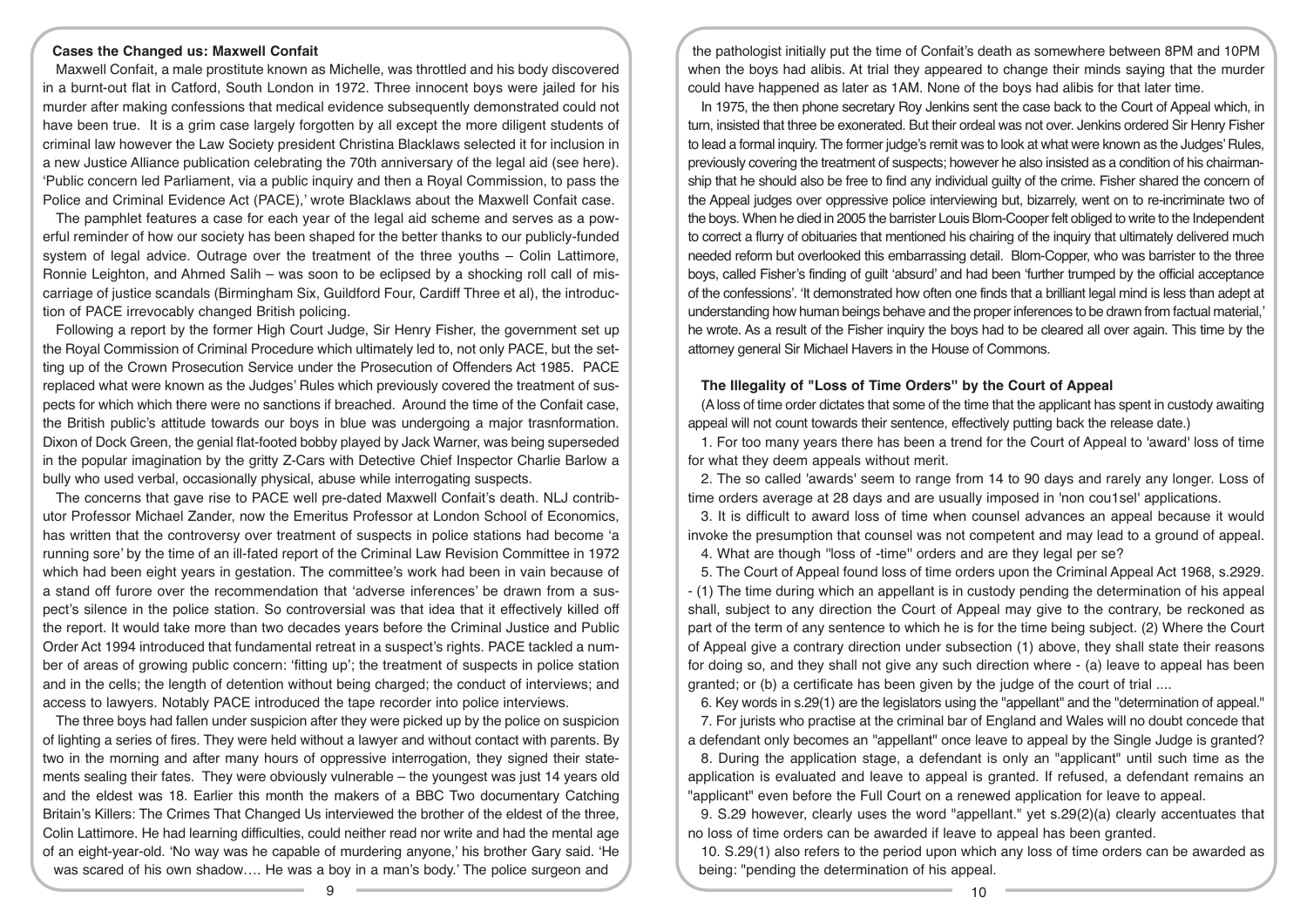#### **Cases the Changed us: Maxwell Confait**

Maxwell Confait, a male prostitute known as Michelle, was throttled and his body discovered in a burnt-out flat in Catford, South London in 1972. Three innocent boys were jailed for his murder after making confessions that medical evidence subsequently demonstrated could not have been true. It is a grim case largely forgotten by all except the more diligent students of criminal law however the Law Society president Christina Blacklaws selected it for inclusion in a new Justice Alliance publication celebrating the 70th anniversary of the legal aid (see here). 'Public concern led Parliament, via a public inquiry and then a Royal Commission, to pass the Police and Criminal Evidence Act (PACE),' wrote Blacklaws about the Maxwell Confait case.

The pamphlet features a case for each year of the legal aid scheme and serves as a powerful reminder of how our society has been shaped for the better thanks to our publicly-funded system of legal advice. Outrage over the treatment of the three youths – Colin Lattimore, Ronnie Leighton, and Ahmed Salih – was soon to be eclipsed by a shocking roll call of miscarriage of justice scandals (Birmingham Six, Guildford Four, Cardiff Three et al), the introduction of PACE irrevocably changed British policing.

Following a report by the former High Court Judge, Sir Henry Fisher, the government set up the Royal Commission of Criminal Procedure which ultimately led to, not only PACE, but the setting up of the Crown Prosecution Service under the Prosecution of Offenders Act 1985. PACE replaced what were known as the Judges' Rules which previously covered the treatment of suspects for which which there were no sanctions if breached. Around the time of the Confait case, the British public's attitude towards our boys in blue was undergoing a major trasnformation. Dixon of Dock Green, the genial flat-footed bobby played by Jack Warner, was being superseded in the popular imagination by the gritty Z-Cars with Detective Chief Inspector Charlie Barlow a bully who used verbal, occasionally physical, abuse while interrogating suspects.

The concerns that gave rise to PACE well pre-dated Maxwell Confait's death. NLJ contributor Professor Michael Zander, now the Emeritus Professor at London School of Economics, has written that the controversy over treatment of suspects in police stations had become 'a running sore' by the time of an ill-fated report of the Criminal Law Revision Committee in 1972 which had been eight years in gestation. The committee's work had been in vain because of a stand off furore over the recommendation that 'adverse inferences' be drawn from a suspect's silence in the police station. So controversial was that idea that it effectively killed off the report. It would take more than two decades years before the Criminal Justice and Public Order Act 1994 introduced that fundamental retreat in a suspect's rights. PACE tackled a number of areas of growing public concern: 'fitting up'; the treatment of suspects in police station and in the cells; the length of detention without being charged; the conduct of interviews; and access to lawyers. Notably PACE introduced the tape recorder into police interviews.

The three boys had fallen under suspicion after they were picked up by the police on suspicion of lighting a series of fires. They were held without a lawyer and without contact with parents. By two in the morning and after many hours of oppressive interrogation, they signed their statements sealing their fates. They were obviously vulnerable – the youngest was just 14 years old and the eldest was 18. Earlier this month the makers of a BBC Two documentary Catching Britain's Killers: The Crimes That Changed Us interviewed the brother of the eldest of the three, Colin Lattimore. He had learning difficulties, could neither read nor write and had the mental age of an eight-year-old. 'No way was he capable of murdering anyone,' his brother Gary said. 'He was scared of his own shadow…. He was a boy in a man's body.' The police surgeon and

the pathologist initially put the time of Confait's death as somewhere between 8PM and 10PM when the boys had alibis. At trial they appeared to change their minds saying that the murder could have happened as later as 1AM. None of the boys had alibis for that later time.

In 1975, the then phone secretary Roy Jenkins sent the case back to the Court of Appeal which, in turn, insisted that three be exonerated. But their ordeal was not over. Jenkins ordered Sir Henry Fisher to lead a formal inquiry. The former judge's remit was to look at what were known as the Judges' Rules, previously covering the treatment of suspects; however he also insisted as a condition of his chairmanship that he should also be free to find any individual guilty of the crime. Fisher shared the concern of the Appeal judges over oppressive police interviewing but, bizarrely, went on to re-incriminate two of the boys. When he died in 2005 the barrister Louis Blom-Cooper felt obliged to write to the Independent to correct a flurry of obituaries that mentioned his chairing of the inquiry that ultimately delivered much needed reform but overlooked this embarrassing detail. Blom-Copper, who was barrister to the three boys, called Fisher's finding of guilt 'absurd' and had been 'further trumped by the official acceptance of the confessions'. 'It demonstrated how often one finds that a brilliant legal mind is less than adept at understanding how human beings behave and the proper inferences to be drawn from factual material,' he wrote. As a result of the Fisher inquiry the boys had to be cleared all over again. This time by the attorney general Sir Michael Havers in the House of Commons.

#### **The Illegality of "Loss of Time Orders'' by the Court of Appeal**

(A loss of time order dictates that some of the time that the applicant has spent in custody awaiting appeal will not count towards their sentence, effectively putting back the release date.)

1. For too many years there has been a trend for the Court of Appeal to 'award' loss of time for what they deem appeals without merit.

2. The so called 'awards' seem to range from 14 to 90 days and rarely any longer. Loss of time orders average at 28 days and are usually imposed in 'non cou1sel' applications.

3. It is difficult to award loss of time when counsel advances an appeal because it would invoke the presumption that counsel was not competent and may lead to a ground of appeal.

4. What are though ''loss of -time'' orders and are they legal per se?

5. The Court of Appeal found loss of time orders upon the Criminal Appeal Act 1968, s.2929. - (1) The time during which an appellant is in custody pending the determination of his appeal shall, subject to any direction the Court of Appeal may give to the contrary, be reckoned as part of the term of any sentence to which he is for the time being subject. (2) Where the Court of Appeal give a contrary direction under subsection (1) above, they shall state their reasons for doing so, and they shall not give any such direction where - (a) leave to appeal has been granted; or (b) a certificate has been given by the judge of the court of trial ....

6. Key words in s.29(1) are the legislators using the "appellant'' and the "determination of appeal."

7. For jurists who practise at the criminal bar of England and Wales will no doubt concede that a defendant only becomes an ''appellant" once leave to appeal by the Single Judge is granted?

8. During the application stage, a defendant is only an "applicant" until such time as the application is evaluated and leave to appeal is granted. If refused, a defendant remains an "applicant" even before the Full Court on a renewed application for leave to appeal.

9. S.29 however, clearly uses the word "appellant." yet s.29(2)(a) clearly accentuates that no loss of time orders can be awarded if leave to appeal has been granted.

10. S.29(1) also refers to the period upon which any loss of time orders can be awarded as being: "pending the determination of his appeal.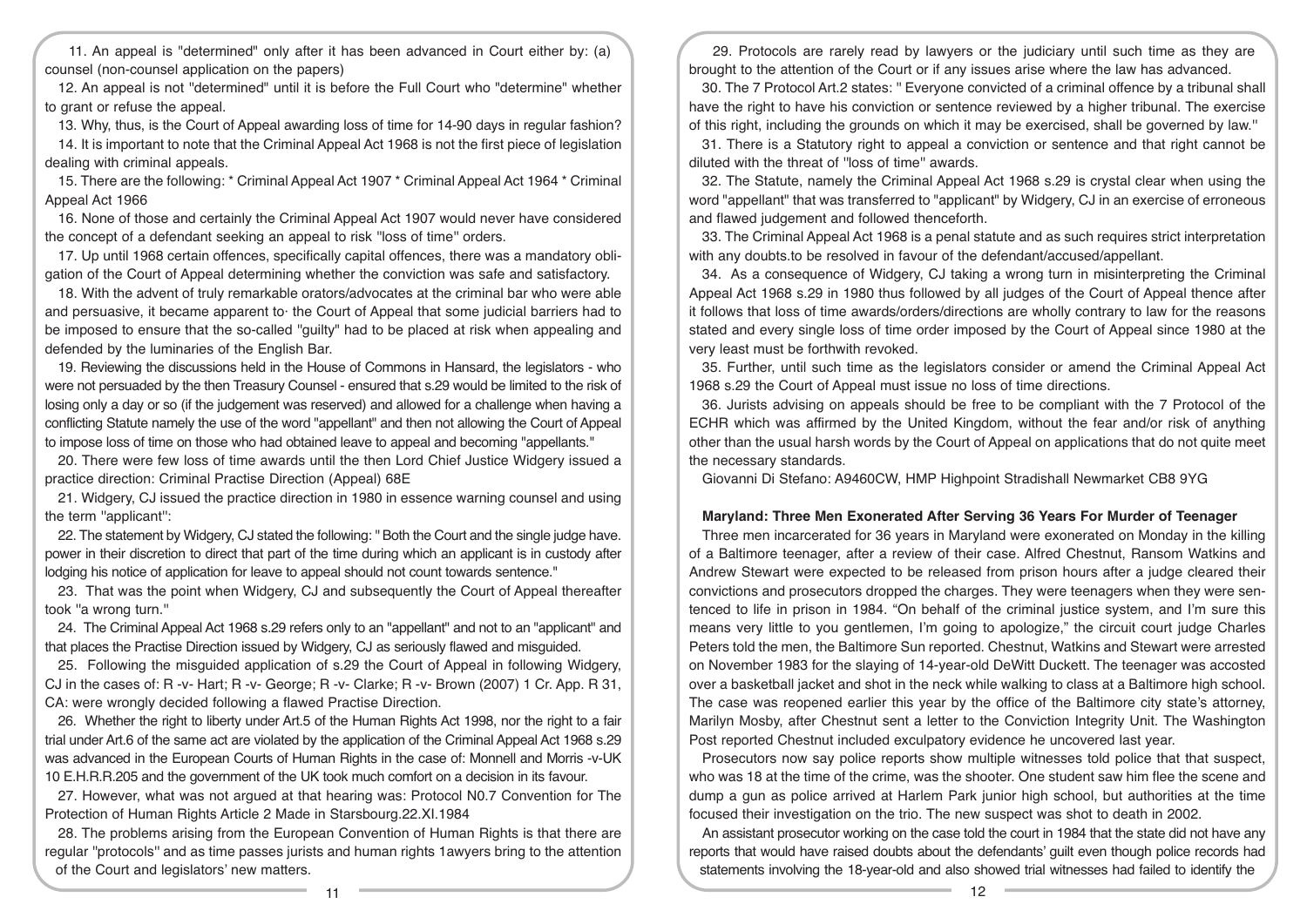11. An appeal is "determined" only after it has been advanced in Court either by: (a) counsel (non-counsel application on the papers)

12. An appeal is not ''determined" until it is before the Full Court who "determine" whether to grant or refuse the appeal.

13. Why, thus, is the Court of Appeal awarding loss of time for 14-90 days in regular fashion? 14. It is important to note that the Criminal Appeal Act 1968 is not the first piece of legislation dealing with criminal appeals.

15. There are the following: \* Criminal Appeal Act 1907 \* Criminal Appeal Act 1964 \* Criminal Appeal Act 1966

16. None of those and certainly the Criminal Appeal Act 1907 would never have considered the concept of a defendant seeking an appeal to risk ''loss of time'' orders.

17. Up until 1968 certain offences, specifically capital offences, there was a mandatory obligation of the Court of Appeal determining whether the conviction was safe and satisfactory.

18. With the advent of truly remarkable orators/advocates at the criminal bar who were able and persuasive, it became apparent to· the Court of Appeal that some judicial barriers had to be imposed to ensure that the so-called ''guilty" had to be placed at risk when appealing and defended by the luminaries of the English Bar.

19. Reviewing the discussions held in the House of Commons in Hansard, the legislators - who were not persuaded by the then Treasury Counsel - ensured that s.29 would be limited to the risk of losing only a day or so (if the judgement was reserved) and allowed for a challenge when having a conflicting Statute namely the use of the word "appellant" and then not allowing the Court of Appeal to impose loss of time on those who had obtained leave to appeal and becoming "appellants.''

20. There were few loss of time awards until the then Lord Chief Justice Widgery issued a practice direction: Criminal Practise Direction (Appeal) 68E

21. Widgery, CJ issued the practice direction in 1980 in essence warning counsel and using the term ''applicant'':

22. The statement by Widgery, CJ stated the following: '' Both the Court and the single judge have. power in their discretion to direct that part of the time during which an applicant is in custody after lodging his notice of application for leave to appeal should not count towards sentence.''

23. That was the point when Widgery, CJ and subsequently the Court of Appeal thereafter took ''a wrong turn.''

24. The Criminal Appeal Act 1968 s.29 refers only to an "appellant" and not to an "applicant" and that places the Practise Direction issued by Widgery, CJ as seriously flawed and misguided.

25. Following the misguided application of s.29 the Court of Appeal in following Widgery, CJ in the cases of: R -v- Hart; R -v- George; R -v- Clarke; R -v- Brown (2007) 1 Cr. App. R 31, CA: were wrongly decided following a flawed Practise Direction.

26. Whether the right to liberty under Art.5 of the Human Rights Act 1998, nor the right to a fair trial under Art.6 of the same act are violated by the application of the Criminal Appeal Act 1968 s.29 was advanced in the European Courts of Human Rights in the case of: Monnell and Morris -v-UK 10 E.H.R.R.205 and the government of the UK took much comfort on a decision in its favour.

27. However, what was not argued at that hearing was: Protocol N0.7 Convention for The Protection of Human Rights Article 2 Made in Starsbourg.22.XI.1984

28. The problems arising from the European Convention of Human Rights is that there are regular ''protocols'' and as time passes jurists and human rights 1awyers bring to the attention of the Court and legislators' new matters.

29. Protocols are rarely read by lawyers or the judiciary until such time as they are brought to the attention of the Court or if any issues arise where the law has advanced.

30. The 7 Protocol Art.2 states: '' Everyone convicted of a criminal offence by a tribunal shall have the right to have his conviction or sentence reviewed by a higher tribunal. The exercise of this right, including the grounds on which it may be exercised, shall be governed by law.''

31. There is a Statutory right to appeal a conviction or sentence and that right cannot be diluted with the threat of ''loss of time'' awards.

32. The Statute, namely the Criminal Appeal Act 1968 s.29 is crystal clear when using the word "appellant" that was transferred to "applicant" by Widgery, CJ in an exercise of erroneous and flawed judgement and followed thenceforth.

33. The Criminal Appeal Act 1968 is a penal statute and as such requires strict interpretation with any doubts.to be resolved in favour of the defendant/accused/appellant.

34. As a consequence of Widgery, CJ taking a wrong turn in misinterpreting the Criminal Appeal Act 1968 s.29 in 1980 thus followed by all judges of the Court of Appeal thence after it follows that loss of time awards/orders/directions are wholly contrary to law for the reasons stated and every single loss of time order imposed by the Court of Appeal since 1980 at the very least must be forthwith revoked.

35. Further, until such time as the legislators consider or amend the Criminal Appeal Act 1968 s.29 the Court of Appeal must issue no loss of time directions.

36. Jurists advising on appeals should be free to be compliant with the 7 Protocol of the ECHR which was affirmed by the United Kingdom, without the fear and/or risk of anything other than the usual harsh words by the Court of Appeal on applications that do not quite meet the necessary standards.

Giovanni Di Stefano: A9460CW, HMP Highpoint Stradishall Newmarket CB8 9YG

# **Maryland: Three Men Exonerated After Serving 36 Years For Murder of Teenager**

Three men incarcerated for 36 years in Maryland were exonerated on Monday in the killing of a Baltimore teenager, after a review of their case. Alfred Chestnut, Ransom Watkins and Andrew Stewart were expected to be released from prison hours after a judge cleared their convictions and prosecutors dropped the charges. They were teenagers when they were sentenced to life in prison in 1984. "On behalf of the criminal justice system, and I'm sure this means very little to you gentlemen, I'm going to apologize," the circuit court judge Charles Peters told the men, the Baltimore Sun reported. Chestnut, Watkins and Stewart were arrested on November 1983 for the slaying of 14-year-old DeWitt Duckett. The teenager was accosted over a basketball jacket and shot in the neck while walking to class at a Baltimore high school. The case was reopened earlier this year by the office of the Baltimore city state's attorney, Marilyn Mosby, after Chestnut sent a letter to the Conviction Integrity Unit. The Washington Post reported Chestnut included exculpatory evidence he uncovered last year.

Prosecutors now say police reports show multiple witnesses told police that that suspect, who was 18 at the time of the crime, was the shooter. One student saw him flee the scene and dump a gun as police arrived at Harlem Park junior high school, but authorities at the time focused their investigation on the trio. The new suspect was shot to death in 2002.

An assistant prosecutor working on the case told the court in 1984 that the state did not have any reports that would have raised doubts about the defendants' guilt even though police records had statements involving the 18-year-old and also showed trial witnesses had failed to identify the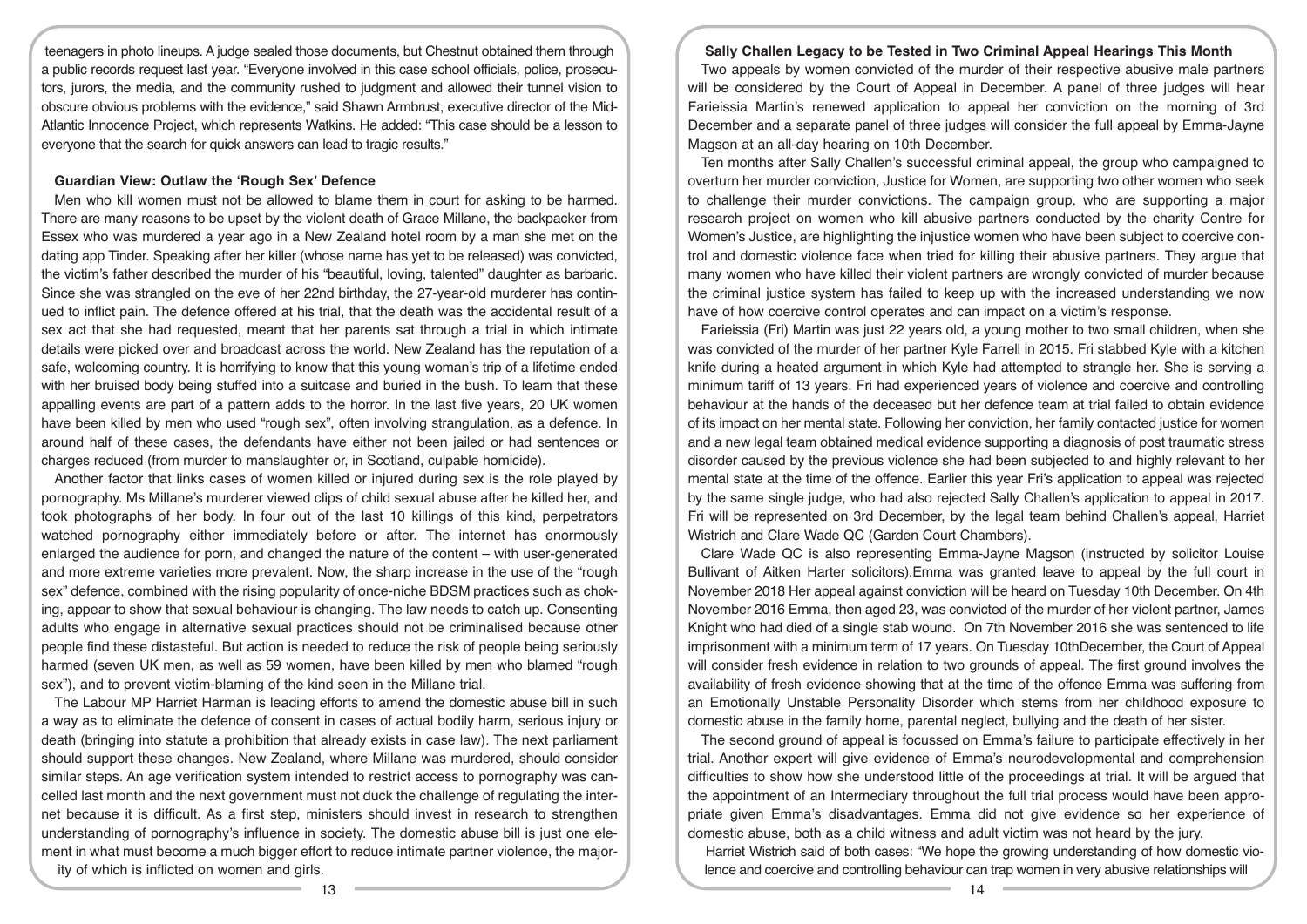teenagers in photo lineups. A judge sealed those documents, but Chestnut obtained them through a public records request last year. "Everyone involved in this case school officials, police, prosecutors, jurors, the media, and the community rushed to judgment and allowed their tunnel vision to obscure obvious problems with the evidence," said Shawn Armbrust, executive director of the Mid-Atlantic Innocence Project, which represents Watkins. He added: "This case should be a lesson to everyone that the search for quick answers can lead to tragic results."

#### **Guardian View: Outlaw the 'Rough Sex' Defence**

Men who kill women must not be allowed to blame them in court for asking to be harmed. There are many reasons to be upset by the violent death of Grace Millane, the backpacker from Essex who was murdered a year ago in a New Zealand hotel room by a man she met on the dating app Tinder. Speaking after her killer (whose name has yet to be released) was convicted, the victim's father described the murder of his "beautiful, loving, talented" daughter as barbaric. Since she was strangled on the eve of her 22nd birthday, the 27-year-old murderer has continued to inflict pain. The defence offered at his trial, that the death was the accidental result of a sex act that she had requested, meant that her parents sat through a trial in which intimate details were picked over and broadcast across the world. New Zealand has the reputation of a safe, welcoming country. It is horrifying to know that this young woman's trip of a lifetime ended with her bruised body being stuffed into a suitcase and buried in the bush. To learn that these appalling events are part of a pattern adds to the horror. In the last five years, 20 UK women have been killed by men who used "rough sex", often involving strangulation, as a defence. In around half of these cases, the defendants have either not been jailed or had sentences or charges reduced (from murder to manslaughter or, in Scotland, culpable homicide).

Another factor that links cases of women killed or injured during sex is the role played by pornography. Ms Millane's murderer viewed clips of child sexual abuse after he killed her, and took photographs of her body. In four out of the last 10 killings of this kind, perpetrators watched pornography either immediately before or after. The internet has enormously enlarged the audience for porn, and changed the nature of the content – with user-generated and more extreme varieties more prevalent. Now, the sharp increase in the use of the "rough sex" defence, combined with the rising popularity of once-niche BDSM practices such as choking, appear to show that sexual behaviour is changing. The law needs to catch up. Consenting adults who engage in alternative sexual practices should not be criminalised because other people find these distasteful. But action is needed to reduce the risk of people being seriously harmed (seven UK men, as well as 59 women, have been killed by men who blamed "rough sex"), and to prevent victim-blaming of the kind seen in the Millane trial.

The Labour MP Harriet Harman is leading efforts to amend the domestic abuse bill in such a way as to eliminate the defence of consent in cases of actual bodily harm, serious injury or death (bringing into statute a prohibition that already exists in case law). The next parliament should support these changes. New Zealand, where Millane was murdered, should consider similar steps. An age verification system intended to restrict access to pornography was cancelled last month and the next government must not duck the challenge of regulating the internet because it is difficult. As a first step, ministers should invest in research to strengthen understanding of pornography's influence in society. The domestic abuse bill is just one element in what must become a much bigger effort to reduce intimate partner violence, the majority of which is inflicted on women and girls.

#### **Sally Challen Legacy to be Tested in Two Criminal Appeal Hearings This Month**

Two appeals by women convicted of the murder of their respective abusive male partners will be considered by the Court of Appeal in December. A panel of three judges will hear Farieissia Martin's renewed application to appeal her conviction on the morning of 3rd December and a separate panel of three judges will consider the full appeal by Emma-Jayne Magson at an all-day hearing on 10th December.

Ten months after Sally Challen's successful criminal appeal, the group who campaigned to overturn her murder conviction, Justice for Women, are supporting two other women who seek to challenge their murder convictions. The campaign group, who are supporting a major research project on women who kill abusive partners conducted by the charity Centre for Women's Justice, are highlighting the injustice women who have been subject to coercive control and domestic violence face when tried for killing their abusive partners. They argue that many women who have killed their violent partners are wrongly convicted of murder because the criminal justice system has failed to keep up with the increased understanding we now have of how coercive control operates and can impact on a victim's response.

Farieissia (Fri) Martin was just 22 years old, a young mother to two small children, when she was convicted of the murder of her partner Kyle Farrell in 2015. Fri stabbed Kyle with a kitchen knife during a heated argument in which Kyle had attempted to strangle her. She is serving a minimum tariff of 13 years. Fri had experienced years of violence and coercive and controlling behaviour at the hands of the deceased but her defence team at trial failed to obtain evidence of its impact on her mental state. Following her conviction, her family contacted justice for women and a new legal team obtained medical evidence supporting a diagnosis of post traumatic stress disorder caused by the previous violence she had been subjected to and highly relevant to her mental state at the time of the offence. Earlier this year Fri's application to appeal was rejected by the same single judge, who had also rejected Sally Challen's application to appeal in 2017. Fri will be represented on 3rd December, by the legal team behind Challen's appeal, Harriet Wistrich and Clare Wade QC (Garden Court Chambers).

Clare Wade QC is also representing Emma-Jayne Magson (instructed by solicitor Louise Bullivant of Aitken Harter solicitors).Emma was granted leave to appeal by the full court in November 2018 Her appeal against conviction will be heard on Tuesday 10th December. On 4th November 2016 Emma, then aged 23, was convicted of the murder of her violent partner, James Knight who had died of a single stab wound. On 7th November 2016 she was sentenced to life imprisonment with a minimum term of 17 years. On Tuesday 10thDecember, the Court of Appeal will consider fresh evidence in relation to two grounds of appeal. The first ground involves the availability of fresh evidence showing that at the time of the offence Emma was suffering from an Emotionally Unstable Personality Disorder which stems from her childhood exposure to domestic abuse in the family home, parental neglect, bullying and the death of her sister.

The second ground of appeal is focussed on Emma's failure to participate effectively in her trial. Another expert will give evidence of Emma's neurodevelopmental and comprehension difficulties to show how she understood little of the proceedings at trial. It will be argued that the appointment of an Intermediary throughout the full trial process would have been appropriate given Emma's disadvantages. Emma did not give evidence so her experience of domestic abuse, both as a child witness and adult victim was not heard by the jury.

 Harriet Wistrich said of both cases: "We hope the growing understanding of how domestic violence and coercive and controlling behaviour can trap women in very abusive relationships will